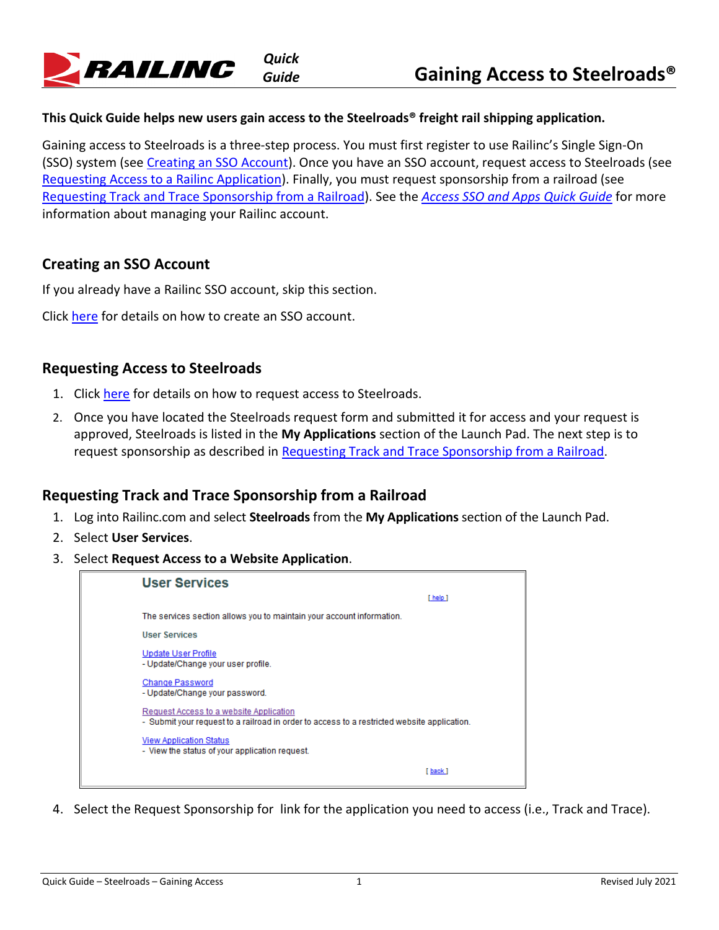

## **This Quick Guide helps new users gain access to the Steelroads® freight rail shipping application.**

Gaining access to Steelroads is a three-step process. You must first register to use Railinc's Single Sign-On (SSO) system (see [Creating an SSO Account\)](https://public.railinc.com/sites/default/files/documents/Access_SSO_and_Apps_QG.pdf#%5B%7B%22num%22%3A233%2C%22gen%22%3A0%7D%2C%7B%22name%22%3A%22XYZ%22%7D%2C34%2C614%2C0%5D). Once you have an SSO account, request access to Steelroads (see [Requesting Access to a Railinc Application\)](https://public.railinc.com/sites/default/files/documents/Access_SSO_and_Apps_QG.pdf#%5B%7B%22num%22%3A233%2C%22gen%22%3A0%7D%2C%7B%22name%22%3A%22XYZ%22%7D%2C34%2C254%2C0%5D). Finally, you must request sponsorship from a railroad (see [Requesting Track and Trace Sponsorship from a Railroad\)](#page-0-0). See the *[Access SSO and Apps Quick Guide](https://public.railinc.com/sites/default/files/documents/Access_SSO_and_Apps_QG.pdf)* for more information about managing your Railinc account.

## **Creating an SSO Account**

If you already have a Railinc SSO account, skip this section.

Click [here](https://public.railinc.com/sites/default/files/documents/Access_SSO_and_Apps_QG.pdf#%5B%7B%22num%22%3A233%2C%22gen%22%3A0%7D%2C%7B%22name%22%3A%22XYZ%22%7D%2C34%2C614%2C0%5D) for details on how to create an SSO account.

## **Requesting Access to Steelroads**

- 1. Click [here](https://public.railinc.com/sites/default/files/documents/Access_SSO_and_Apps_QG.pdf#%5B%7B%22num%22%3A233%2C%22gen%22%3A0%7D%2C%7B%22name%22%3A%22XYZ%22%7D%2C34%2C254%2C0%5D) for details on how to request access to Steelroads.
- 2. Once you have located the Steelroads request form and submitted it for access and your request is approved, Steelroads is listed in the **My Applications** section of the Launch Pad. The next step is to request sponsorship as described in [Requesting Track and Trace Sponsorship from a Railroad.](#page-0-0)

## <span id="page-0-0"></span>**Requesting Track and Trace Sponsorship from a Railroad**

- 1. Log into Railinc.com and select **Steelroads** from the **My Applications** section of the Launch Pad.
- 2. Select **User Services**.
- 3. Select **Request Access to a Website Application**.



4. Select the Request Sponsorship for link for the application you need to access (i.e., Track and Trace).